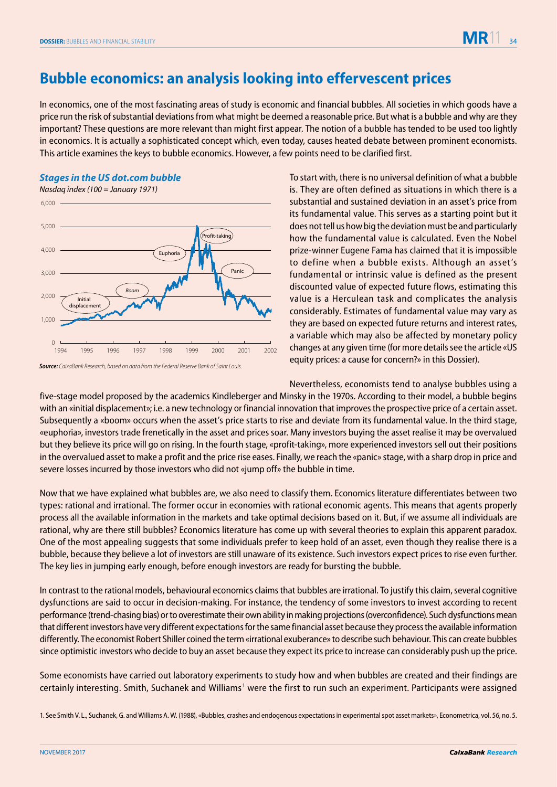## **Bubble economics: an analysis looking into effervescent prices**

In economics, one of the most fascinating areas of study is economic and financial bubbles. All societies in which goods have a price run the risk of substantial deviations from what might be deemed a reasonable price. But what is a bubble and why are they important? These questions are more relevant than might first appear. The notion of a bubble has tended to be used too lightly in economics. It is actually a sophisticated concept which, even today, causes heated debate between prominent economists. This article examines the keys to bubble economics. However, a few points need to be clarified first.

## **Stages in the US dot.com bubble**



**Source***: CaixaBank Research,* based on data from the Federal Reserve Bank of Saint Louis.

To start with, there is no universal definition of what a bubble is. They are often defined as situations in which there is a substantial and sustained deviation in an asset's price from its fundamental value. This serves as a starting point but it does not tell us how big the deviation must be and particularly how the fundamental value is calculated. Even the Nobel prize-winner Eugene Fama has claimed that it is impossible to define when a bubble exists. Although an asset's fundamental or intrinsic value is defined as the present discounted value of expected future flows, estimating this value is a Herculean task and complicates the analysis considerably. Estimates of fundamental value may vary as they are based on expected future returns and interest rates, a variable which may also be affected by monetary policy changes at any given time (for more details see the article «US equity prices: a cause for concern?» in this Dossier).

Nevertheless, economists tend to analyse bubbles using a five-stage model proposed by the academics Kindleberger and Minsky in the 1970s. According to their model, a bubble begins with an «initial displacement»; i.e. a new technology or financial innovation that improves the prospective price of a certain asset. Subsequently a «boom» occurs when the asset's price starts to rise and deviate from its fundamental value. In the third stage, «euphoria», investors trade frenetically in the asset and prices soar. Many investors buying the asset realise it may be overvalued but they believe its price will go on rising. In the fourth stage, «profit-taking», more experienced investors sell out their positions in the overvalued asset to make a profit and the price rise eases. Finally, we reach the «panic» stage, with a sharp drop in price and severe losses incurred by those investors who did not «jump off» the bubble in time.

Now that we have explained what bubbles are, we also need to classify them. Economics literature differentiates between two types: rational and irrational. The former occur in economies with rational economic agents. This means that agents properly process all the available information in the markets and take optimal decisions based on it. But, if we assume all individuals are rational, why are there still bubbles? Economics literature has come up with several theories to explain this apparent paradox. One of the most appealing suggests that some individuals prefer to keep hold of an asset, even though they realise there is a bubble, because they believe a lot of investors are still unaware of its existence. Such investors expect prices to rise even further. The key lies in jumping early enough, before enough investors are ready for bursting the bubble.

In contrast to the rational models, behavioural economics claims that bubbles are irrational. To justify this claim, several cognitive dysfunctions are said to occur in decision-making. For instance, the tendency of some investors to invest according to recent performance (trend-chasing bias) or to overestimate their own ability in making projections (overconfidence). Such dysfunctions mean that different investors have very different expectations for the same financial asset because they process the available information differently. The economist Robert Shiller coined the term «irrational exuberance» to describe such behaviour. This can create bubbles since optimistic investors who decide to buy an asset because they expect its price to increase can considerably push up the price.

Some economists have carried out laboratory experiments to study how and when bubbles are created and their findings are certainly interesting. Smith, Suchanek and Williams<sup>1</sup> were the first to run such an experiment. Participants were assigned

1. See Smith V. L., Suchanek, G. and Williams A. W. (1988), «Bubbles, crashes and endogenous expectations in experimental spot asset markets», Econometrica, vol. 56, no. 5.